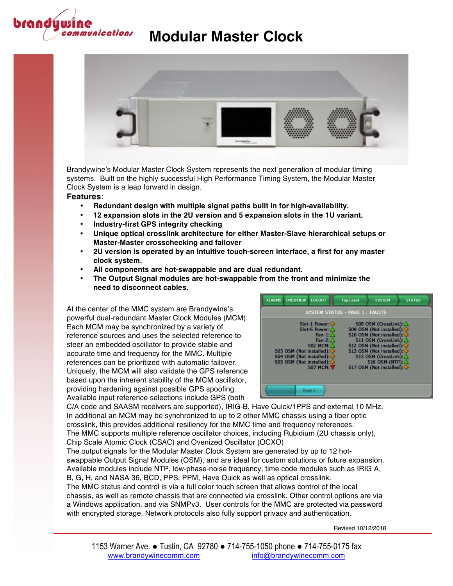



Brandywine's Modular Master Clock System represents the next generation of modular timing systems. Built on the highly successful High Performance Timing System, the Modular Master Clock System is a leap forward in design.

#### **Features**:

- **Redundant design with multiple signal paths built in for high-availability.**
- **12 expansion slots in the 2U version and 5 expansion slots in the 1U variant.**
- **Industry-first GPS integrity checking**
- **Unique optical crosslink architecture for either Master-Slave hierarchical setups or Master-Master crosschecking and failover**
- **2U version is operated by an intuitive touch-screen interface, a first for any master clock system.**
- **All components are hot-swappable and are dual redundant.**
- **The Output Signal modules are hot-swappable from the front and minimize the need to disconnect cables.**

At the center of the MMC system are Brandywine's powerful dual-redundant Master Clock Modules (MCM). Each MCM may be synchronized by a variety of reference sources and uses the selected reference to steer an embedded oscillator to provide stable and accurate time and frequency for the MMC. Multiple references can be prioritized with automatic failover. Uniquely, the MCM will also validate the GPS reference based upon the inherent stability of the MCM oscillator, providing hardening against possible GPS spoofing. Available input reference selections include GPS (both



C/A code and SAASM receivers are supported), IRIG-B, Have Quick/1PPS and external 10 MHz. In additional an MCM may be synchronized to up to 2 other MMC chassis using a fiber optic crosslink, this provides additional resiliency for the MMC time and frequency references. The MMC supports multiple reference oscillator choices, including Rubidium (2U chassis only), Chip Scale Atomic Clock (CSAC) and Ovenized Oscillator (OCXO)

The output signals for the Modular Master Clock System are generated by up to 12 hotswappable Output Signal Modules (OSM), and are ideal for custom solutions or future expansion. Available modules include NTP, low-phase-noise frequency, time code modules such as IRIG A, B, G, H, and NASA 36, BCD, PPS, PPM, Have Quick as well as optical crosslink.

The MMC status and control is via a full color touch screen that allows control of the local chassis, as well as remote chassis that are connected via crosslink. Other control options are via a Windows application, and via SNMPv3. User controls for the MMC are protected via password with encrypted storage. Network protocols also fully support privacy and authentication.

Revised 10/12/2018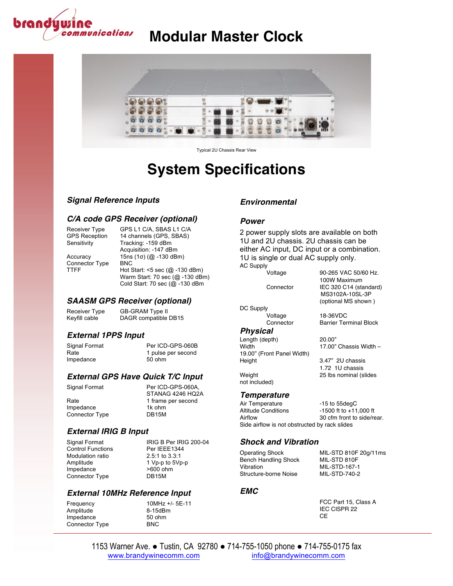



Typical 2U Chassis Rear View

# **System Specifications**

#### *Signal Reference Inputs*

#### *C/A code GPS Receiver (optional)*

Connector Type<br>TTFF

Receiver Type GPS L1 C/A, SBAS L1 C/A GPS Reception 14 channels (GPS, SBAS)<br>Sensitivity Tracking: -159 dBm Tracking: -159 dBm Acquisition: -147 dBm Accuracy 15ns (1σ) (@ -130 dBm)<br>Connector Type BNC Hot Start:  $<$ 5 sec (@ -130 dBm) Warm Start: 70 sec (@ -130 dBm) Cold Start: 70 sec (@ -130 dBm

*SAASM GPS Receiver (optional)*

Receiver Type GB-GRAM Type II<br>Keyfill cable DAGR compatible DAGR compatible DB15

#### *External 1PPS Input*

Signal Format Per ICD-GPS-060B Rate 1 pulse per second Impedance 50 ohm

#### *External GPS Have Quick T/C Input*

Impedance 1k ohm<br>Connector Type 16915M Connector Type

### Signal Format Per ICD-GPS-060A, STANAG 4246 HQ2A Rate 1 frame per second<br>Impedance 1k ohm

### *External IRIG B Input*

Control Functions Per IEEE1344<br>Modulation ratio **Property** 2.5:1 to 3.3:1 Modulation ratio<br>Amplitude Impedance Connector Type DB15M

Signal Format IRIG B Per IRIG 200-04 1 Vp-p to  $5Vp-p$ <br>>600 ohm

#### *External 10MHz Reference Input*

Frequency 10MHz +/- 5E-11<br>Amplitude 8-15dBm Amplitude 8-15dBr<br>
Impedance 50 ohm Impedance 50 of<br>Connector Type 50 O Connector Type

#### *Environmental*

#### *Power*

2 power supply slots are available on both 1U and 2U chassis. 2U chassis can be either AC input, DC input or a combination. 1U is single or dual AC supply only. AC Supply

Voltage 90-265 VAC 50/60 Hz.

100W Maximum Connector IEC 320 C14 (standard) MS3102A-10SL-3P (optional MS shown )

18-36VDC Connector Barrier Terminal Block

 $17.00$ " Chassis Width –

1.72 1U chassis

#### *Physical*

DC Supply<br>Voltage

Length (depth) 20.00"<br>Width 17.00" 19.00" (Front Panel Width) Height 3.47" 2U chassis Weight 25 lbs nominal (slides

*Temperature*

not included)

Air Temperature -15 to 55degC<br>Altitude Conditions -1500 ft to +11  $-1500$  ft to  $+11,000$  ft Airflow 30 cfm front to side/rear. Side airflow is not obstructed by rack slides

#### *Shock and Vibration*

Operating Shock MIL-STD 810F 20g/11ms Bench Handling Shock MIL-STD 810F Vibration MIL-STD-167-1 Structure-borne Noise MIL-STD-740-2

#### *EMC*

FCC Part 15, Class A IEC CISPR 22 **CE**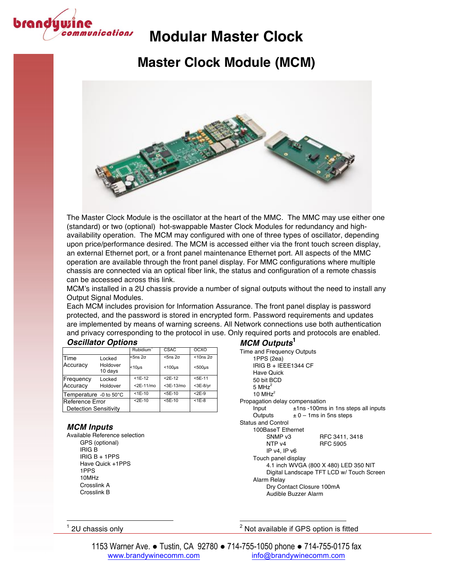

## **Master Clock Module (MCM)**



The Master Clock Module is the oscillator at the heart of the MMC. The MMC may use either one (standard) or two (optional) hot-swappable Master Clock Modules for redundancy and highavailability operation. The MCM may configured with one of three types of oscillator, depending upon price/performance desired. The MCM is accessed either via the front touch screen display, an external Ethernet port, or a front panel maintenance Ethernet port. All aspects of the MMC operation are available through the front panel display. For MMC configurations where multiple chassis are connected via an optical fiber link, the status and configuration of a remote chassis can be accessed across this link.

MCM's installed in a 2U chassis provide a number of signal outputs without the need to install any Output Signal Modules.

Each MCM includes provision for Information Assurance. The front panel display is password protected, and the password is stored in encrypted form. Password requirements and updates are implemented by means of warning screens. All Network connections use both authentication and privacy corresponding to the protocol in use. Only required ports and protocols are enabled.

| <b>Oscillator Options</b> |  |
|---------------------------|--|
|---------------------------|--|

| <b>Oscillator Options</b>    |                     |                       |                 |                    |  |
|------------------------------|---------------------|-----------------------|-----------------|--------------------|--|
|                              |                     | Rubidium <sup>1</sup> | CSAC            | OCXO               |  |
| Time                         | Locked              | $5ns2\sigma$          | $5ns2\sigma$    | $<$ 10ns $2\sigma$ |  |
| Accuracy                     | Holdover<br>10 days | $<$ 10 $\mu$ s        | $<$ 100 $\mu$ s | $500\mu s$         |  |
| Frequency                    | Locked              | $<$ 1E-12             | $<$ 2E-12       | $<$ 5E-11          |  |
| Accuracy                     | Holdover            | $<$ 2E-11/mo          | $3E-13/mol$     | $<$ 3E-8/yr        |  |
| Temperature -0 to 50°C       |                     | $7E-10$               | $5E-10$         | $< 2E-9$           |  |
| Reference Error              |                     | $2E-10$               | $5E-10$         | $<$ 1 $E$ -8       |  |
| <b>Detection Sensitivity</b> |                     |                       |                 |                    |  |

#### *MCM Inputs*

Available Reference selection GPS (optional) IRIG B IRIG B + 1PPS Have Quick +1PPS 1PPS 10MHz Crosslink A Crosslink B

 

#### *MCM Outputs***<sup>1</sup>**

| Time and Frequency Outputs                |                                        |  |
|-------------------------------------------|----------------------------------------|--|
| 1PPS (2ea)                                |                                        |  |
| IRIG B + IEEE1344 CF                      |                                        |  |
| Have Quick                                |                                        |  |
| 50 bit BCD                                |                                        |  |
| 5 MH $z^2$                                |                                        |  |
| $10$ MH $z2$                              |                                        |  |
| Propagation delay compensation            |                                        |  |
| Input                                     | $±1$ ns -100ms in 1ns steps all inputs |  |
|                                           | Outputs $\pm 0 - 1$ ms in 5 ns steps   |  |
| <b>Status and Control</b>                 |                                        |  |
| 100BaseT Ethernet                         |                                        |  |
| SNMP v3                                   | RFC 3411, 3418                         |  |
| NTP <sub>v4</sub>                         | <b>RFC 5905</b>                        |  |
| IP v4, IP v6                              |                                        |  |
| Touch panel display                       |                                        |  |
| 4.1 inch WVGA (800 X 480) LED 350 NIT     |                                        |  |
| Digital Landscape TFT LCD w/ Touch Screen |                                        |  |
| Alarm Relay                               |                                        |  |
| Dry Contact Closure 100mA                 |                                        |  |
| Audible Buzzer Alarm                      |                                        |  |
|                                           |                                        |  |

 $1$  2U chassis only

 $2$  Not available if GPS option is fitted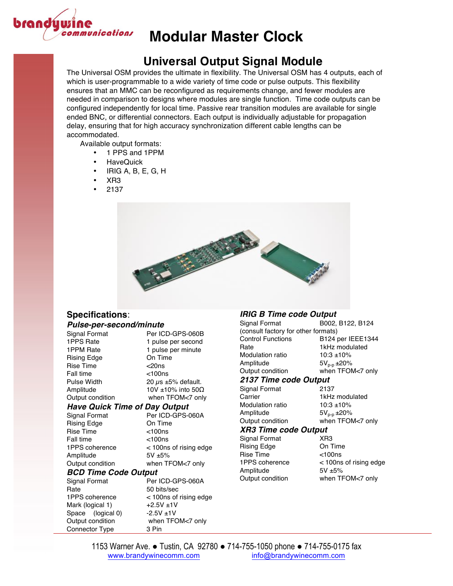

### **Universal Output Signal Module**

The Universal OSM provides the ultimate in flexibility. The Universal OSM has 4 outputs, each of which is user-programmable to a wide variety of time code or pulse outputs. This flexibility ensures that an MMC can be reconfigured as requirements change, and fewer modules are needed in comparison to designs where modules are single function. Time code outputs can be configured independently for local time. Passive rear transition modules are available for single ended BNC, or differential connectors. Each output is individually adjustable for propagation delay, ensuring that for high accuracy synchronization different cable lengths can be accommodated.

Available output formats:

- 1 PPS and 1PPM
- HaveQuick
- IRIG A, B, E, G, H
- XR3
- 2137



### **Specifications**:

#### *Pulse-per-second/minute*

Connector Type 3 Pin

| Signal Format                        | Per ICD-GPS-060B               |
|--------------------------------------|--------------------------------|
| 1PPS Rate                            | 1 pulse per second             |
| 1PPM Rate                            | 1 pulse per minute             |
| Rising Edge                          | On Time                        |
| <b>Rise Time</b>                     | $<$ 20ns                       |
| <b>Fall time</b>                     | $<$ 100 $ns$                   |
| Pulse Width                          | 20 $\mu$ s ±5% default.        |
| Amplitude                            | 10V $\pm$ 10% into 50 $\Omega$ |
| Output condition                     | when TFOM<7 only               |
| <b>Have Quick Time of Day Output</b> |                                |
| Signal Format                        | Per ICD-GPS-060A               |
| <b>Rising Edge</b>                   | On Time                        |
| Rise Time                            | $<$ 100 $ns$                   |
| <b>Fall time</b>                     | $<$ 100 $ns$                   |
| 1PPS coherence                       | < 100ns of rising edge         |
| Amplitude                            | $5V + 5%$                      |
| Output condition                     | when TFOM<7 only               |
| <b>BCD Time Code Output</b>          |                                |
| Signal Format                        | Per ICD-GPS-060A               |
| Rate                                 | 50 bits/sec                    |
| 1PPS coherence                       | < 100ns of rising edge         |
| Mark (logical 1)                     | $+2.5V + 1V$                   |
| Space (logical 0)                    | $-2.5V + 1V$                   |
| Output condition                     | when TFOM<7 only               |

#### *IRIG B Time code Output*

| Signal Format                       | B002, B122, B124  |  |
|-------------------------------------|-------------------|--|
| (consult factory for other formats) |                   |  |
| <b>Control Functions</b>            | B124 per IEEE1344 |  |
| Rate                                | 1kHz modulated    |  |
| Modulation ratio                    | $10:3 + 10%$      |  |
| Amplitude                           | $5V_{p-p}$ ±20%   |  |
| Output condition                    | when TFOM<7 only  |  |
| 2137 Time code Output               |                   |  |
| Signal Format                       | 2137              |  |
| Carrier                             | 1kHz modulated    |  |
| Modulation ratio                    | $10:3 + 10%$      |  |
| Amplitude                           | $5V_{p-p}$ ±20%   |  |
| Output condition                    | when TFOM<7 only  |  |
| <b>XR3 Time code Output</b>         |                   |  |
| Signal Format                       | XR3               |  |

Rising Edge On Time Rise Time <100ns Amplitude 5V ±5%

1PPS coherence < 100ns of rising edge Output condition when TFOM<7 only